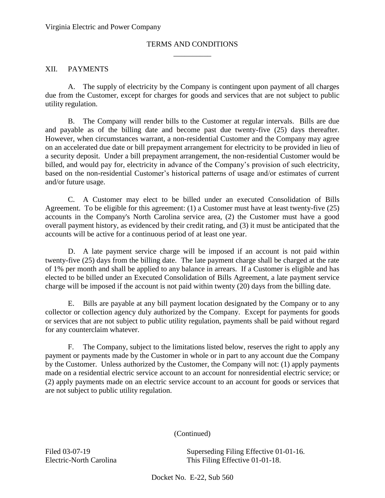## \_\_\_\_\_\_\_\_\_\_ TERMS AND CONDITIONS

### XII. PAYMENTS

 A. The supply of electricity by the Company is contingent upon payment of all charges due from the Customer, except for charges for goods and services that are not subject to public utility regulation.

 B. The Company will render bills to the Customer at regular intervals. Bills are due and payable as of the billing date and become past due twenty-five (25) days thereafter. However, when circumstances warrant, a non-residential Customer and the Company may agree on an accelerated due date or bill prepayment arrangement for electricity to be provided in lieu of a security deposit. Under a bill prepayment arrangement, the non-residential Customer would be billed, and would pay for, electricity in advance of the Company's provision of such electricity, based on the non-residential Customer's historical patterns of usage and/or estimates of current and/or future usage.

 C. A Customer may elect to be billed under an executed Consolidation of Bills accounts in the Company's North Carolina service area, (2) the Customer must have a good Agreement. To be eligible for this agreement: (1) a Customer must have at least twenty-five (25) overall payment history, as evidenced by their credit rating, and (3) it must be anticipated that the accounts will be active for a continuous period of at least one year.

 D. A late payment service charge will be imposed if an account is not paid within twenty-five (25) days from the billing date. The late payment charge shall be charged at the rate of 1% per month and shall be applied to any balance in arrears. If a Customer is eligible and has elected to be billed under an Executed Consolidation of Bills Agreement, a late payment service charge will be imposed if the account is not paid within twenty (20) days from the billing date.

 E. Bills are payable at any bill payment location designated by the Company or to any collector or collection agency duly authorized by the Company. Except for payments for goods or services that are not subject to public utility regulation, payments shall be paid without regard for any counterclaim whatever.

 $F_{\cdot}$  payment or payments made by the Customer in whole or in part to any account due the Company by the Customer. Unless authorized by the Customer, the Company will not: (1) apply payments made on a residential electric service account to an account for nonresidential electric service; or (2) apply payments made on an electric service account to an account for goods or services that The Company, subject to the limitations listed below, reserves the right to apply any are not subject to public utility regulation.

#### (Continued)

Filed 03-07-19

 Electric-North Carolina This Filing Effective 01-01-18. Superseding Filing Effective 01-01-16.

Docket No. E-22, Sub 560